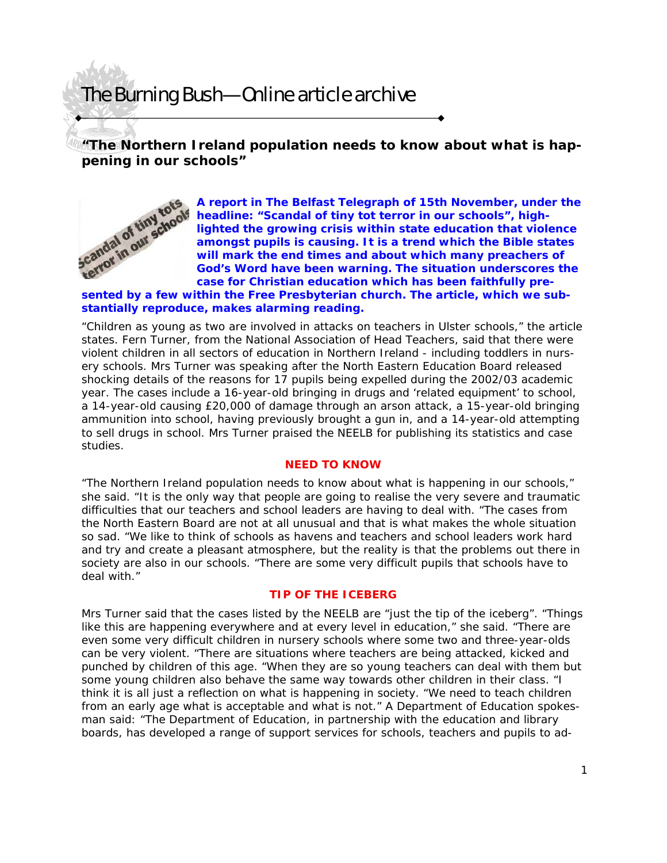## The Burning Bush—Online article archive

**"The Northern Ireland population needs to know about what is happening in our schools"** 



**A report in The Belfast Telegraph of 15th November, under the headline: "Scandal of tiny tot terror in our schools", highlighted the growing crisis within state education that violence amongst pupils is causing. It is a trend which the Bible states will mark the end times and about which many preachers of God's Word have been warning. The situation underscores the case for Christian education which has been faithfully pre-Sented by a few within the Free Presbyterian church. The article, which we sub-<br>
<b>Sented by a few within the Free Presbyterian church.** The article, which we sub-<br> **Sented by a few within the Free Presbyterian church.** Th

# **stantially reproduce, makes alarming reading.**

"Children as young as two are involved in attacks on teachers in Ulster schools," the article states. Fern Turner, from the National Association of Head Teachers, said that there were violent children in all sectors of education in Northern Ireland - including toddlers in nursery schools. Mrs Turner was speaking after the North Eastern Education Board released shocking details of the reasons for 17 pupils being expelled during the 2002/03 academic year. The cases include a 16-year-old bringing in drugs and 'related equipment' to school, a 14-year-old causing £20,000 of damage through an arson attack, a 15-year-old bringing ammunition into school, having previously brought a gun in, and a 14-year-old attempting to sell drugs in school. Mrs Turner praised the NEELB for publishing its statistics and case studies.

#### **NEED TO KNOW**

"The Northern Ireland population needs to know about what is happening in our schools," she said. "It is the only way that people are going to realise the very severe and traumatic difficulties that our teachers and school leaders are having to deal with. "The cases from the North Eastern Board are not at all unusual and that is what makes the whole situation so sad. "We like to think of schools as havens and teachers and school leaders work hard and try and create a pleasant atmosphere, but the reality is that the problems out there in society are also in our schools. "There are some very difficult pupils that schools have to deal with."

### **TIP OF THE ICEBERG**

Mrs Turner said that the cases listed by the NEELB are "just the tip of the iceberg". "Things like this are happening everywhere and at every level in education," she said. "There are even some very difficult children in nursery schools where some two and three-year-olds can be very violent. "There are situations where teachers are being attacked, kicked and punched by children of this age. "When they are so young teachers can deal with them but some young children also behave the same way towards other children in their class. "I think it is all just a reflection on what is happening in society. "We need to teach children from an early age what is acceptable and what is not." A Department of Education spokesman said: "The Department of Education, in partnership with the education and library boards, has developed a range of support services for schools, teachers and pupils to ad-